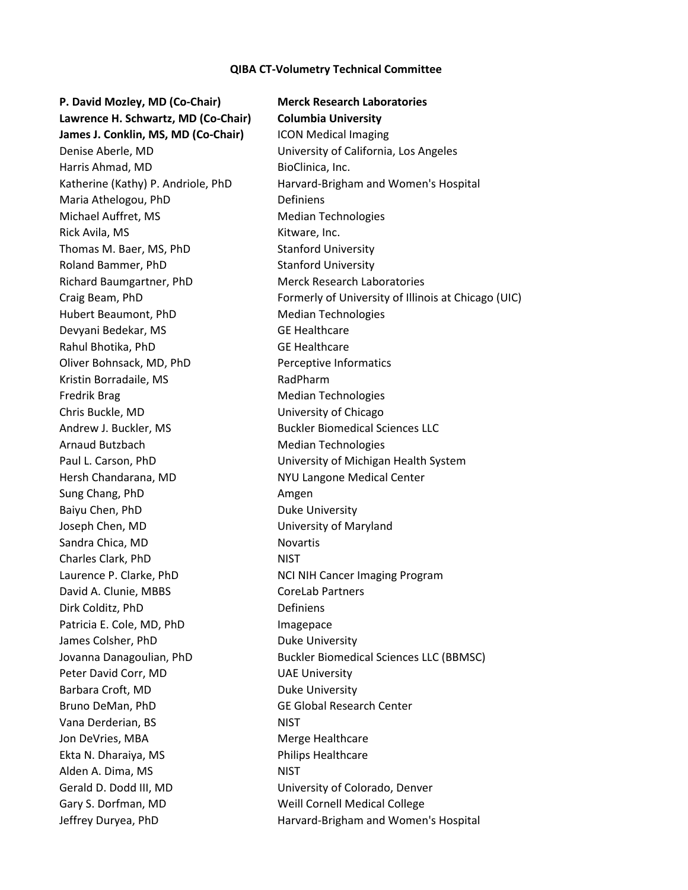## **QIBA CT-Volumetry Technical Committee**

**P. David Mozley, MD (Co-Chair) Merck Research Laboratories Lawrence H. Schwartz, MD (Co-Chair) Columbia University James J. Conklin, MS, MD (Co-Chair)** ICON Medical Imaging Denise Aberle, MD University of California, Los Angeles Harris Ahmad, MD BioClinica, Inc. Maria Athelogou, PhD Definiens Michael Auffret, MS Median Technologies Rick Avila, MS **Kitware, Inc.** Thomas M. Baer, MS, PhD Stanford University Roland Bammer, PhD Stanford University Richard Baumgartner, PhD Merck Research Laboratories Hubert Beaumont, PhD Median Technologies Devyani Bedekar, MS GE Healthcare Rahul Bhotika, PhD GE Healthcare Oliver Bohnsack, MD, PhD Perceptive Informatics Kristin Borradaile, MS<br>
RadPharm Fredrik Brag Median Technologies Chris Buckle, MD University of Chicago Andrew J. Buckler, MS Buckler Biomedical Sciences LLC Arnaud Butzbach Median Technologies Paul L. Carson, PhD University of Michigan Health System Hersh Chandarana, MD NYU Langone Medical Center Sung Chang, PhD Amgen Baiyu Chen, PhD Duke University Joseph Chen, MD University of Maryland Sandra Chica, MD Novartis Charles Clark, PhD NIST Laurence P. Clarke, PhD NCI NIH Cancer Imaging Program David A. Clunie, MBBS CoreLab Partners Dirk Colditz, PhD Definiens Patricia E. Cole, MD, PhD Imagepace James Colsher, PhD Duke University Peter David Corr, MD UAE University Barbara Croft, MD Duke University Bruno DeMan, PhD GE Global Research Center Vana Derderian, BS
NIST Jon DeVries, MBA Merge Healthcare Ekta N. Dharaiya, MS Philips Healthcare Alden A. Dima, MS NIST Gerald D. Dodd III, MD University of Colorado, Denver Gary S. Dorfman, MD Weill Cornell Medical College

Katherine (Kathy) P. Andriole, PhD Harvard-Brigham and Women's Hospital Craig Beam, PhD Formerly of University of Illinois at Chicago (UIC) Jovanna Danagoulian, PhD Buckler Biomedical Sciences LLC (BBMSC) Jeffrey Duryea, PhD **Harvard-Brigham and Women's Hospital**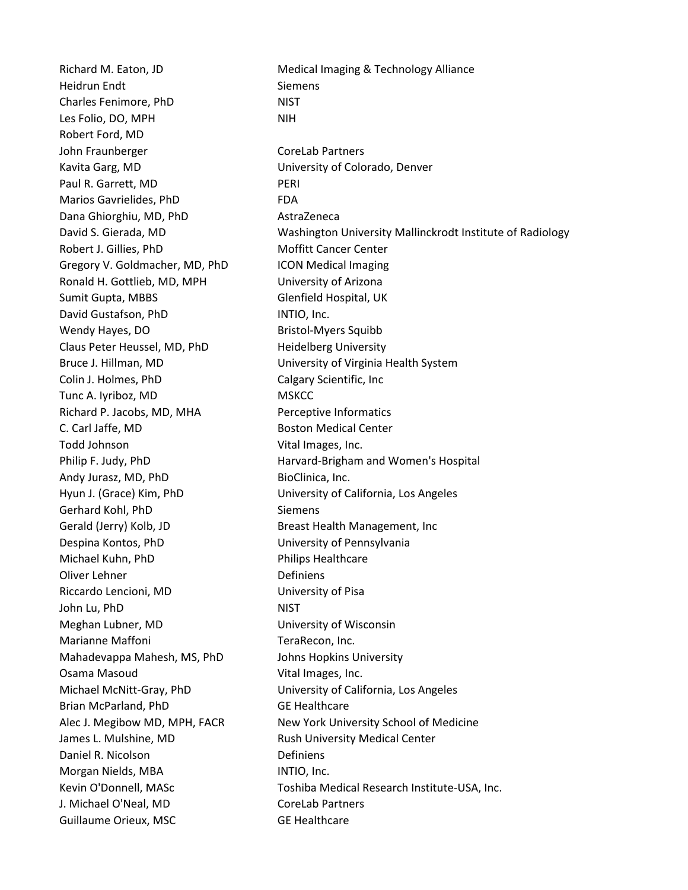Richard M. Eaton, JD Medical Imaging & Technology Alliance Heidrun Endt Siemens Charles Fenimore, PhD NIST Les Folio, DO, MPH NIH Robert Ford, MD John Fraunberger CoreLab Partners Kavita Garg, MD University of Colorado, Denver Paul R. Garrett, MD PERI Marios Gavrielides, PhD FDA Dana Ghiorghiu, MD, PhD AstraZeneca Robert J. Gillies, PhD Moffitt Cancer Center Gregory V. Goldmacher, MD, PhD ICON Medical Imaging Ronald H. Gottlieb, MD, MPH University of Arizona Sumit Gupta, MBBS Glenfield Hospital, UK David Gustafson, PhD INTIO, Inc. Wendy Hayes, DO Bristol-Myers Squibb Claus Peter Heussel, MD, PhD Heidelberg University Colin J. Holmes, PhD Calgary Scientific, Inc. Tunc A. Iyriboz, MD MSKCC Richard P. Jacobs, MD, MHA Perceptive Informatics C. Carl Jaffe, MD Boston Medical Center Todd Johnson Vital Images, Inc. Andy Jurasz, MD, PhD BioClinica, Inc. Gerhard Kohl, PhD Siemens Gerald (Jerry) Kolb, JD Breast Health Management, Inc Despina Kontos, PhD University of Pennsylvania Michael Kuhn, PhD Philips Healthcare Oliver Lehner **Definiens** Riccardo Lencioni, MD University of Pisa John Lu, PhD NIST Meghan Lubner, MD University of Wisconsin Marianne Maffoni **TeraRecon**, Inc. Mahadevappa Mahesh, MS, PhD Johns Hopkins University Osama Masoud **Vital Images, Inc.** Brian McParland, PhD GE Healthcare James L. Mulshine, MD **Rush University Medical Center** Daniel R. Nicolson **Definiens** Morgan Nields, MBA **INTIO**, Inc. J. Michael O'Neal, MD CoreLab Partners Guillaume Orieux, MSC GE Healthcare

David S. Gierada, MD Washington University Mallinckrodt Institute of Radiology Bruce J. Hillman, MD University of Virginia Health System Philip F. Judy, PhD **Harvard-Brigham and Women's Hospital** Hyun J. (Grace) Kim, PhD University of California, Los Angeles Michael McNitt-Gray, PhD University of California, Los Angeles Alec J. Megibow MD, MPH, FACR New York University School of Medicine Kevin O'Donnell, MASc Toshiba Medical Research Institute-USA, Inc.